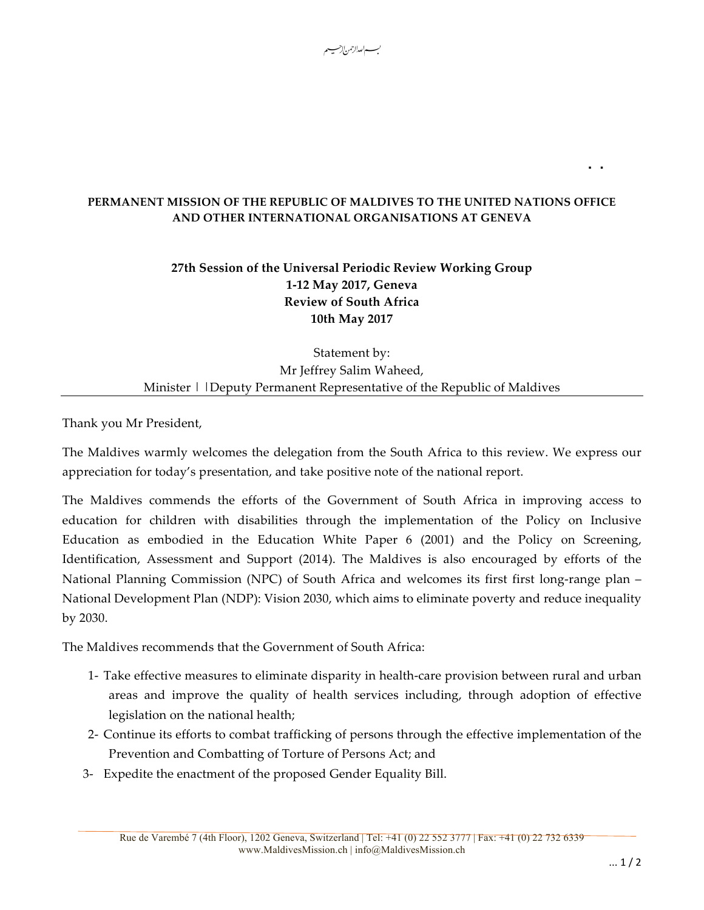## **PERMANENT MISSION OF THE REPUBLIC OF MALDIVES TO THE UNITED NATIONS OFFICE AND OTHER INTERNATIONAL ORGANISATIONS AT GENEVA**

**..**

بـــــم|<sub>لعد</sub>ال*(حمن*|إحسبيــ

## **27th Session of the Universal Periodic Review Working Group 1-12 May 2017, Geneva Review of South Africa 10th May 2017**

Statement by: Mr Jeffrey Salim Waheed, Minister | | Deputy Permanent Representative of the Republic of Maldives

Thank you Mr President,

The Maldives warmly welcomes the delegation from the South Africa to this review. We express our appreciation for today's presentation, and take positive note of the national report.

The Maldives commends the efforts of the Government of South Africa in improving access to education for children with disabilities through the implementation of the Policy on Inclusive Education as embodied in the Education White Paper 6 (2001) and the Policy on Screening, Identification, Assessment and Support (2014). The Maldives is also encouraged by efforts of the National Planning Commission (NPC) of South Africa and welcomes its first first long-range plan – National Development Plan (NDP): Vision 2030, which aims to eliminate poverty and reduce inequality by 2030.

The Maldives recommends that the Government of South Africa:

- 1- Take effective measures to eliminate disparity in health-care provision between rural and urban areas and improve the quality of health services including, through adoption of effective legislation on the national health;
- 2- Continue its efforts to combat trafficking of persons through the effective implementation of the Prevention and Combatting of Torture of Persons Act; and
- 3- Expedite the enactment of the proposed Gender Equality Bill.